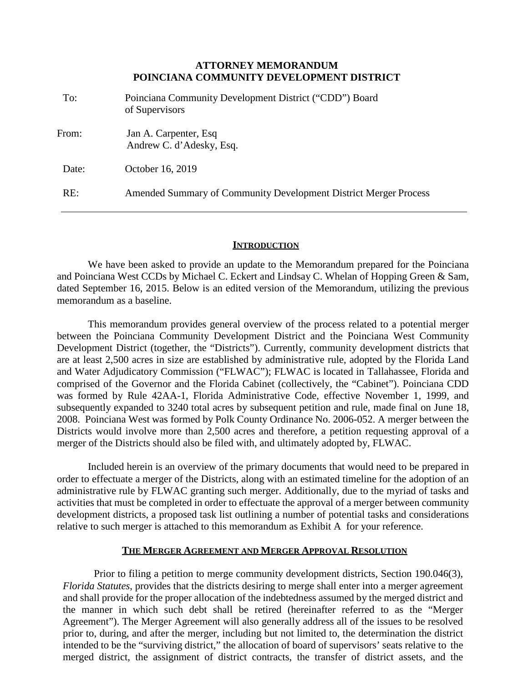# **ATTORNEY MEMORANDUM POINCIANA COMMUNITY DEVELOPMENT DISTRICT**

| To:   | Poinciana Community Development District ("CDD") Board<br>of Supervisors |
|-------|--------------------------------------------------------------------------|
| From: | Jan A. Carpenter, Esq.<br>Andrew C. d'Adesky, Esq.                       |
| Date: | October 16, 2019                                                         |
| RE:   | Amended Summary of Community Development District Merger Process         |

# **INTRODUCTION**

We have been asked to provide an update to the Memorandum prepared for the Poinciana and Poinciana West CCDs by Michael C. Eckert and Lindsay C. Whelan of Hopping Green & Sam, dated September 16, 2015. Below is an edited version of the Memorandum, utilizing the previous memorandum as a baseline.

This memorandum provides general overview of the process related to a potential merger between the Poinciana Community Development District and the Poinciana West Community Development District (together, the "Districts"). Currently, community development districts that are at least 2,500 acres in size are established by administrative rule, adopted by the Florida Land and Water Adjudicatory Commission ("FLWAC"); FLWAC is located in Tallahassee, Florida and comprised of the Governor and the Florida Cabinet (collectively, the "Cabinet"). Poinciana CDD was formed by Rule 42AA-1, Florida Administrative Code, effective November 1, 1999, and subsequently expanded to 3240 total acres by subsequent petition and rule, made final on June 18, 2008. Poinciana West was formed by Polk County Ordinance No. 2006-052. A merger between the Districts would involve more than 2,500 acres and therefore, a petition requesting approval of a merger of the Districts should also be filed with, and ultimately adopted by, FLWAC.

Included herein is an overview of the primary documents that would need to be prepared in order to effectuate a merger of the Districts, along with an estimated timeline for the adoption of an administrative rule by FLWAC granting such merger. Additionally, due to the myriad of tasks and activities that must be completed in order to effectuate the approval of a merger between community development districts, a proposed task list outlining a number of potential tasks and considerations relative to such merger is attached to this memorandum as Exhibit A for your reference.

# **THE MERGER AGREEMENT AND MERGER APPROVAL RESOLUTION**

Prior to filing a petition to merge community development districts, Section 190.046(3), *Florida Statutes*, provides that the districts desiring to merge shall enter into a merger agreement and shall provide for the proper allocation of the indebtedness assumed by the merged district and the manner in which such debt shall be retired (hereinafter referred to as the "Merger Agreement"). The Merger Agreement will also generally address all of the issues to be resolved prior to, during, and after the merger, including but not limited to, the determination the district intended to be the "surviving district," the allocation of board of supervisors' seats relative to the merged district, the assignment of district contracts, the transfer of district assets, and the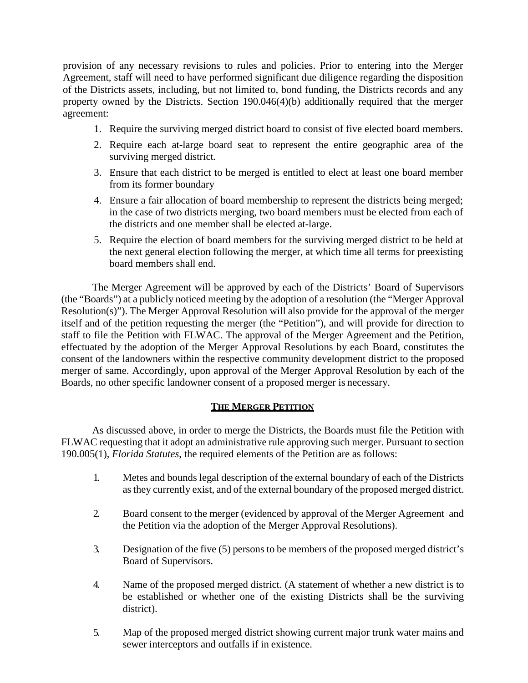provision of any necessary revisions to rules and policies. Prior to entering into the Merger Agreement, staff will need to have performed significant due diligence regarding the disposition of the Districts assets, including, but not limited to, bond funding, the Districts records and any property owned by the Districts. Section 190.046(4)(b) additionally required that the merger agreement:

- 1. Require the surviving merged district board to consist of five elected board members.
- 2. Require each at-large board seat to represent the entire geographic area of the surviving merged district.
- 3. Ensure that each district to be merged is entitled to elect at least one board member from its former boundary
- 4. Ensure a fair allocation of board membership to represent the districts being merged; in the case of two districts merging, two board members must be elected from each of the districts and one member shall be elected at-large.
- 5. Require the election of board members for the surviving merged district to be held at the next general election following the merger, at which time all terms for preexisting board members shall end.

The Merger Agreement will be approved by each of the Districts' Board of Supervisors (the "Boards") at a publicly noticed meeting by the adoption of a resolution (the "Merger Approval Resolution(s)"). The Merger Approval Resolution will also provide for the approval of the merger itself and of the petition requesting the merger (the "Petition"), and will provide for direction to staff to file the Petition with FLWAC. The approval of the Merger Agreement and the Petition, effectuated by the adoption of the Merger Approval Resolutions by each Board, constitutes the consent of the landowners within the respective community development district to the proposed merger of same. Accordingly, upon approval of the Merger Approval Resolution by each of the Boards, no other specific landowner consent of a proposed merger is necessary.

# **THE MERGER PETITION**

As discussed above, in order to merge the Districts, the Boards must file the Petition with FLWAC requesting that it adopt an administrative rule approving such merger. Pursuant to section 190.005(1), *Florida Statutes*, the required elements of the Petition are as follows:

- 1. Metes and bounds legal description of the external boundary of each of the Districts as they currently exist, and of the external boundary of the proposed merged district.
- 2. Board consent to the merger (evidenced by approval of the Merger Agreement and the Petition via the adoption of the Merger Approval Resolutions).
- 3. Designation of the five (5) persons to be members of the proposed merged district's Board of Supervisors.
- 4. Name of the proposed merged district. (A statement of whether a new district is to be established or whether one of the existing Districts shall be the surviving district).
- 5. Map of the proposed merged district showing current major trunk water mains and sewer interceptors and outfalls if in existence.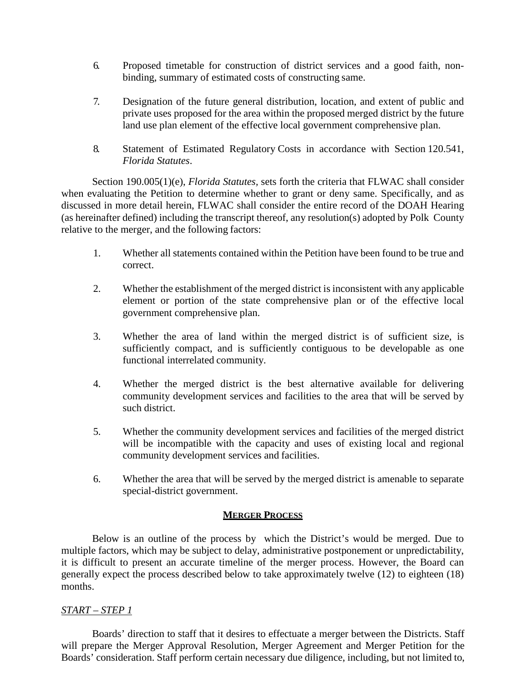- 6. Proposed timetable for construction of district services and a good faith, nonbinding, summary of estimated costs of constructing same.
- 7. Designation of the future general distribution, location, and extent of public and private uses proposed for the area within the proposed merged district by the future land use plan element of the effective local government comprehensive plan.
- 8. Statement of Estimated Regulatory Costs in accordance with Section 120.541, *Florida Statutes*.

Section 190.005(1)(e), *Florida Statutes,* sets forth the criteria that FLWAC shall consider when evaluating the Petition to determine whether to grant or deny same. Specifically, and as discussed in more detail herein, FLWAC shall consider the entire record of the DOAH Hearing (as hereinafter defined) including the transcript thereof, any resolution(s) adopted by Polk County relative to the merger, and the following factors:

- 1. Whether all statements contained within the Petition have been found to be true and correct.
- 2. Whether the establishment of the merged district is inconsistent with any applicable element or portion of the state comprehensive plan or of the effective local government comprehensive plan.
- 3. Whether the area of land within the merged district is of sufficient size, is sufficiently compact, and is sufficiently contiguous to be developable as one functional interrelated community.
- 4. Whether the merged district is the best alternative available for delivering community development services and facilities to the area that will be served by such district.
- 5. Whether the community development services and facilities of the merged district will be incompatible with the capacity and uses of existing local and regional community development services and facilities.
- 6. Whether the area that will be served by the merged district is amenable to separate special-district government.

# **MERGER PROCESS**

Below is an outline of the process by which the District's would be merged. Due to multiple factors, which may be subject to delay, administrative postponement or unpredictability, it is difficult to present an accurate timeline of the merger process. However, the Board can generally expect the process described below to take approximately twelve (12) to eighteen (18) months.

# *START – STEP 1*

Boards' direction to staff that it desires to effectuate a merger between the Districts. Staff will prepare the Merger Approval Resolution, Merger Agreement and Merger Petition for the Boards' consideration. Staff perform certain necessary due diligence, including, but not limited to,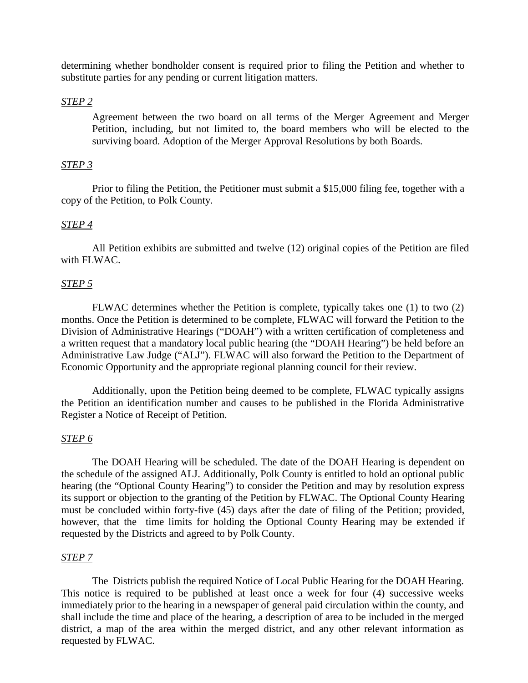determining whether bondholder consent is required prior to filing the Petition and whether to substitute parties for any pending or current litigation matters.

# *STEP 2*

Agreement between the two board on all terms of the Merger Agreement and Merger Petition, including, but not limited to, the board members who will be elected to the surviving board. Adoption of the Merger Approval Resolutions by both Boards.

# *STEP 3*

Prior to filing the Petition, the Petitioner must submit a \$15,000 filing fee, together with a copy of the Petition, to Polk County.

#### *STEP 4*

All Petition exhibits are submitted and twelve (12) original copies of the Petition are filed with FLWAC.

# *STEP 5*

FLWAC determines whether the Petition is complete, typically takes one (1) to two (2) months. Once the Petition is determined to be complete, FLWAC will forward the Petition to the Division of Administrative Hearings ("DOAH") with a written certification of completeness and a written request that a mandatory local public hearing (the "DOAH Hearing") be held before an Administrative Law Judge ("ALJ"). FLWAC will also forward the Petition to the Department of Economic Opportunity and the appropriate regional planning council for their review.

Additionally, upon the Petition being deemed to be complete, FLWAC typically assigns the Petition an identification number and causes to be published in the Florida Administrative Register a Notice of Receipt of Petition.

## *STEP 6*

The DOAH Hearing will be scheduled. The date of the DOAH Hearing is dependent on the schedule of the assigned ALJ. Additionally, Polk County is entitled to hold an optional public hearing (the "Optional County Hearing") to consider the Petition and may by resolution express its support or objection to the granting of the Petition by FLWAC. The Optional County Hearing must be concluded within forty-five (45) days after the date of filing of the Petition; provided, however, that the time limits for holding the Optional County Hearing may be extended if requested by the Districts and agreed to by Polk County.

# *STEP 7*

The Districts publish the required Notice of Local Public Hearing for the DOAH Hearing. This notice is required to be published at least once a week for four (4) successive weeks immediately prior to the hearing in a newspaper of general paid circulation within the county, and shall include the time and place of the hearing, a description of area to be included in the merged district, a map of the area within the merged district, and any other relevant information as requested by FLWAC.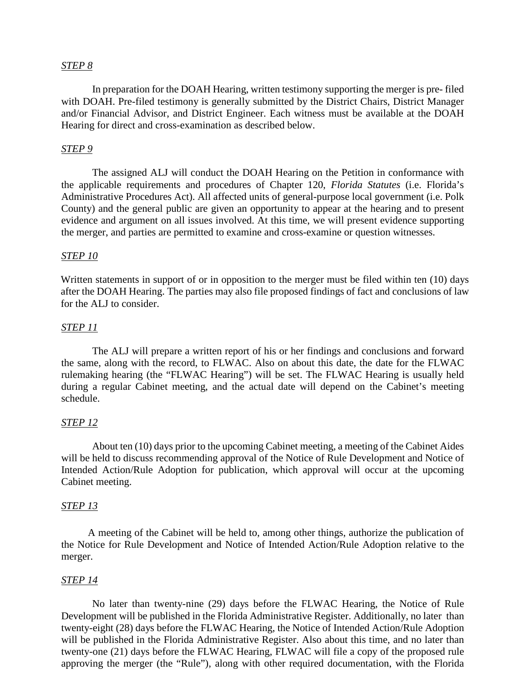#### *STEP 8*

In preparation for the DOAH Hearing, written testimony supporting the merger is pre- filed with DOAH. Pre-filed testimony is generally submitted by the District Chairs, District Manager and/or Financial Advisor, and District Engineer. Each witness must be available at the DOAH Hearing for direct and cross-examination as described below.

#### *STEP 9*

The assigned ALJ will conduct the DOAH Hearing on the Petition in conformance with the applicable requirements and procedures of Chapter 120, *Florida Statutes* (i.e. Florida's Administrative Procedures Act). All affected units of general-purpose local government (i.e. Polk County) and the general public are given an opportunity to appear at the hearing and to present evidence and argument on all issues involved. At this time, we will present evidence supporting the merger, and parties are permitted to examine and cross-examine or question witnesses.

#### *STEP 10*

Written statements in support of or in opposition to the merger must be filed within ten (10) days after the DOAH Hearing. The parties may also file proposed findings of fact and conclusions of law for the ALJ to consider.

# *STEP 11*

The ALJ will prepare a written report of his or her findings and conclusions and forward the same, along with the record, to FLWAC. Also on about this date, the date for the FLWAC rulemaking hearing (the "FLWAC Hearing") will be set. The FLWAC Hearing is usually held during a regular Cabinet meeting, and the actual date will depend on the Cabinet's meeting schedule.

#### *STEP 12*

About ten (10) days prior to the upcoming Cabinet meeting, a meeting of the Cabinet Aides will be held to discuss recommending approval of the Notice of Rule Development and Notice of Intended Action/Rule Adoption for publication, which approval will occur at the upcoming Cabinet meeting.

#### *STEP 13*

A meeting of the Cabinet will be held to, among other things, authorize the publication of the Notice for Rule Development and Notice of Intended Action/Rule Adoption relative to the merger.

#### *STEP 14*

No later than twenty-nine (29) days before the FLWAC Hearing, the Notice of Rule Development will be published in the Florida Administrative Register. Additionally, no later than twenty-eight (28) days before the FLWAC Hearing, the Notice of Intended Action/Rule Adoption will be published in the Florida Administrative Register. Also about this time, and no later than twenty-one (21) days before the FLWAC Hearing, FLWAC will file a copy of the proposed rule approving the merger (the "Rule"), along with other required documentation, with the Florida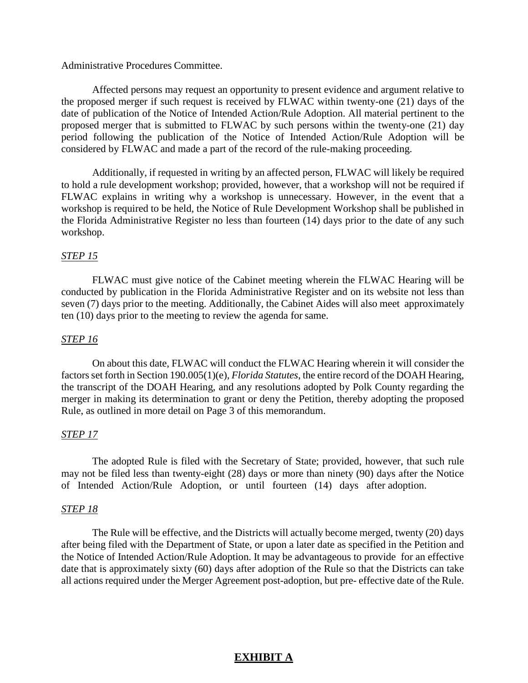#### Administrative Procedures Committee.

Affected persons may request an opportunity to present evidence and argument relative to the proposed merger if such request is received by FLWAC within twenty-one (21) days of the date of publication of the Notice of Intended Action/Rule Adoption. All material pertinent to the proposed merger that is submitted to FLWAC by such persons within the twenty-one (21) day period following the publication of the Notice of Intended Action/Rule Adoption will be considered by FLWAC and made a part of the record of the rule-making proceeding.

Additionally, if requested in writing by an affected person, FLWAC will likely be required to hold a rule development workshop; provided, however, that a workshop will not be required if FLWAC explains in writing why a workshop is unnecessary. However, in the event that a workshop is required to be held, the Notice of Rule Development Workshop shall be published in the Florida Administrative Register no less than fourteen (14) days prior to the date of any such workshop.

# *STEP 15*

FLWAC must give notice of the Cabinet meeting wherein the FLWAC Hearing will be conducted by publication in the Florida Administrative Register and on its website not less than seven (7) days prior to the meeting. Additionally, the Cabinet Aides will also meet approximately ten (10) days prior to the meeting to review the agenda for same.

#### *STEP 16*

On about this date, FLWAC will conduct the FLWAC Hearing wherein it will consider the factors set forth in Section 190.005(1)(e), *Florida Statutes*, the entire record of the DOAH Hearing, the transcript of the DOAH Hearing, and any resolutions adopted by Polk County regarding the merger in making its determination to grant or deny the Petition, thereby adopting the proposed Rule, as outlined in more detail on Page 3 of this memorandum.

#### *STEP 17*

The adopted Rule is filed with the Secretary of State; provided, however, that such rule may not be filed less than twenty-eight (28) days or more than ninety (90) days after the Notice of Intended Action/Rule Adoption, or until fourteen (14) days after adoption.

#### *STEP 18*

The Rule will be effective, and the Districts will actually become merged, twenty (20) days after being filed with the Department of State, or upon a later date as specified in the Petition and the Notice of Intended Action/Rule Adoption. It may be advantageous to provide for an effective date that is approximately sixty (60) days after adoption of the Rule so that the Districts can take all actions required under the Merger Agreement post-adoption, but pre- effective date of the Rule.

# **EXHIBIT A**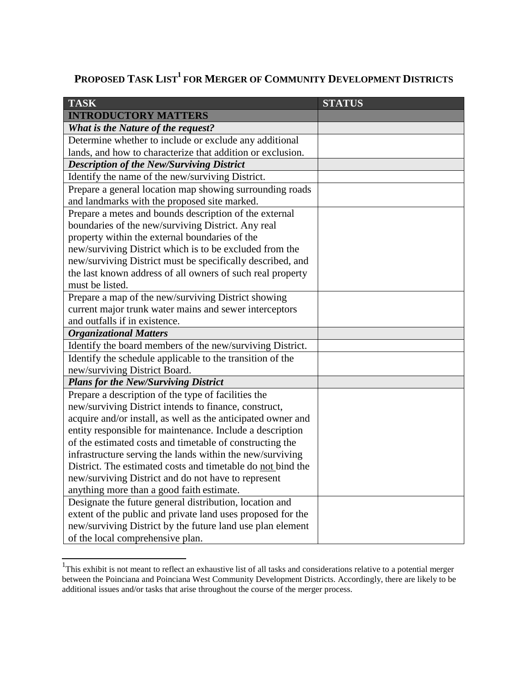# PROPOSED TASK LIST<sup>1</sup> FOR MERGER OF COMMUNITY DEVELOPMENT DISTRICTS

| <b>TASK</b>                                                  | <b>STATUS</b> |
|--------------------------------------------------------------|---------------|
| <b>INTRODUCTORY MATTERS</b>                                  |               |
| What is the Nature of the request?                           |               |
| Determine whether to include or exclude any additional       |               |
| lands, and how to characterize that addition or exclusion.   |               |
| <b>Description of the New/Surviving District</b>             |               |
| Identify the name of the new/surviving District.             |               |
| Prepare a general location map showing surrounding roads     |               |
| and landmarks with the proposed site marked.                 |               |
| Prepare a metes and bounds description of the external       |               |
| boundaries of the new/surviving District. Any real           |               |
| property within the external boundaries of the               |               |
| new/surviving District which is to be excluded from the      |               |
| new/surviving District must be specifically described, and   |               |
| the last known address of all owners of such real property   |               |
| must be listed.                                              |               |
| Prepare a map of the new/surviving District showing          |               |
| current major trunk water mains and sewer interceptors       |               |
| and outfalls if in existence.                                |               |
| <b>Organizational Matters</b>                                |               |
| Identify the board members of the new/surviving District.    |               |
| Identify the schedule applicable to the transition of the    |               |
| new/surviving District Board.                                |               |
| <b>Plans for the New/Surviving District</b>                  |               |
| Prepare a description of the type of facilities the          |               |
| new/surviving District intends to finance, construct,        |               |
| acquire and/or install, as well as the anticipated owner and |               |
| entity responsible for maintenance. Include a description    |               |
| of the estimated costs and timetable of constructing the     |               |
| infrastructure serving the lands within the new/surviving    |               |
| District. The estimated costs and timetable do not bind the  |               |
| new/surviving District and do not have to represent          |               |
| anything more than a good faith estimate.                    |               |
| Designate the future general distribution, location and      |               |
| extent of the public and private land uses proposed for the  |               |
| new/surviving District by the future land use plan element   |               |
| of the local comprehensive plan.                             |               |

<sup>&</sup>lt;sup>1</sup>This exhibit is not meant to reflect an exhaustive list of all tasks and considerations relative to a potential merger between the Poinciana and Poinciana West Community Development Districts. Accordingly, there are likely to be additional issues and/or tasks that arise throughout the course of the merger process.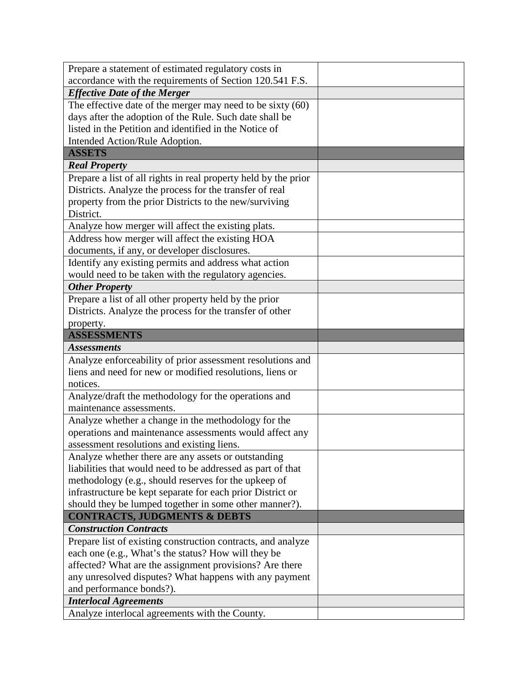| Prepare a statement of estimated regulatory costs in                                                           |  |
|----------------------------------------------------------------------------------------------------------------|--|
| accordance with the requirements of Section 120.541 F.S.                                                       |  |
| <b>Effective Date of the Merger</b>                                                                            |  |
| The effective date of the merger may need to be sixty $(60)$                                                   |  |
| days after the adoption of the Rule. Such date shall be                                                        |  |
| listed in the Petition and identified in the Notice of                                                         |  |
| Intended Action/Rule Adoption.                                                                                 |  |
| <b>ASSETS</b>                                                                                                  |  |
| <b>Real Property</b>                                                                                           |  |
| Prepare a list of all rights in real property held by the prior                                                |  |
| Districts. Analyze the process for the transfer of real                                                        |  |
| property from the prior Districts to the new/surviving                                                         |  |
| District.                                                                                                      |  |
| Analyze how merger will affect the existing plats.                                                             |  |
| Address how merger will affect the existing HOA                                                                |  |
| documents, if any, or developer disclosures.                                                                   |  |
| Identify any existing permits and address what action                                                          |  |
| would need to be taken with the regulatory agencies.                                                           |  |
| <b>Other Property</b>                                                                                          |  |
| Prepare a list of all other property held by the prior                                                         |  |
| Districts. Analyze the process for the transfer of other                                                       |  |
| property.                                                                                                      |  |
| <b>ASSESSMENTS</b>                                                                                             |  |
| <b>Assessments</b>                                                                                             |  |
| Analyze enforceability of prior assessment resolutions and                                                     |  |
| liens and need for new or modified resolutions, liens or                                                       |  |
| notices.                                                                                                       |  |
| Analyze/draft the methodology for the operations and                                                           |  |
| maintenance assessments.                                                                                       |  |
| Analyze whether a change in the methodology for the                                                            |  |
| operations and maintenance assessments would affect any                                                        |  |
| assessment resolutions and existing liens.                                                                     |  |
| Analyze whether there are any assets or outstanding                                                            |  |
| liabilities that would need to be addressed as part of that                                                    |  |
| methodology (e.g., should reserves for the upkeep of                                                           |  |
|                                                                                                                |  |
| infrastructure be kept separate for each prior District or                                                     |  |
|                                                                                                                |  |
| should they be lumped together in some other manner?).<br><b>CONTRACTS, JUDGMENTS &amp; DEBTS</b>              |  |
| <b>Construction Contracts</b>                                                                                  |  |
| Prepare list of existing construction contracts, and analyze                                                   |  |
|                                                                                                                |  |
| each one (e.g., What's the status? How will they be<br>affected? What are the assignment provisions? Are there |  |
|                                                                                                                |  |
| any unresolved disputes? What happens with any payment<br>and performance bonds?).                             |  |
| <b>Interlocal Agreements</b>                                                                                   |  |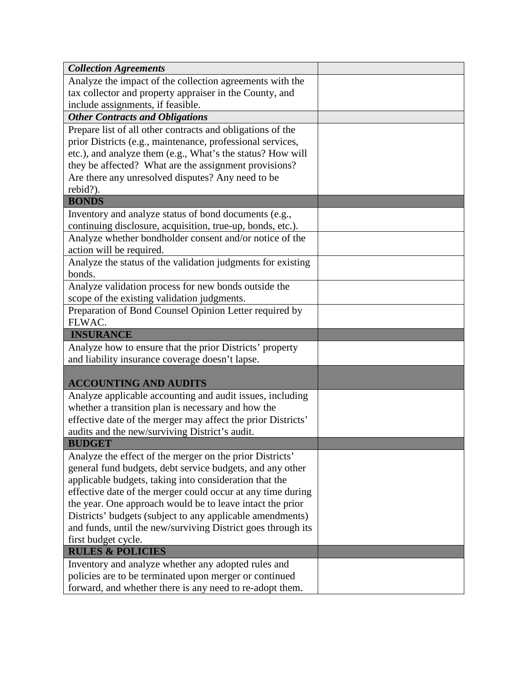| Analyze the impact of the collection agreements with the<br>tax collector and property appraiser in the County, and<br>include assignments, if feasible.<br><b>Other Contracts and Obligations</b><br>Prepare list of all other contracts and obligations of the<br>prior Districts (e.g., maintenance, professional services,<br>etc.), and analyze them (e.g., What's the status? How will<br>they be affected? What are the assignment provisions?<br>Are there any unresolved disputes? Any need to be<br>rebid?).<br><b>BONDS</b><br>Inventory and analyze status of bond documents (e.g.,<br>continuing disclosure, acquisition, true-up, bonds, etc.).<br>Analyze whether bondholder consent and/or notice of the<br>action will be required.<br>Analyze the status of the validation judgments for existing<br>bonds.<br>Analyze validation process for new bonds outside the<br>scope of the existing validation judgments.<br>Preparation of Bond Counsel Opinion Letter required by |
|------------------------------------------------------------------------------------------------------------------------------------------------------------------------------------------------------------------------------------------------------------------------------------------------------------------------------------------------------------------------------------------------------------------------------------------------------------------------------------------------------------------------------------------------------------------------------------------------------------------------------------------------------------------------------------------------------------------------------------------------------------------------------------------------------------------------------------------------------------------------------------------------------------------------------------------------------------------------------------------------|
|                                                                                                                                                                                                                                                                                                                                                                                                                                                                                                                                                                                                                                                                                                                                                                                                                                                                                                                                                                                                |
|                                                                                                                                                                                                                                                                                                                                                                                                                                                                                                                                                                                                                                                                                                                                                                                                                                                                                                                                                                                                |
|                                                                                                                                                                                                                                                                                                                                                                                                                                                                                                                                                                                                                                                                                                                                                                                                                                                                                                                                                                                                |
|                                                                                                                                                                                                                                                                                                                                                                                                                                                                                                                                                                                                                                                                                                                                                                                                                                                                                                                                                                                                |
|                                                                                                                                                                                                                                                                                                                                                                                                                                                                                                                                                                                                                                                                                                                                                                                                                                                                                                                                                                                                |
|                                                                                                                                                                                                                                                                                                                                                                                                                                                                                                                                                                                                                                                                                                                                                                                                                                                                                                                                                                                                |
|                                                                                                                                                                                                                                                                                                                                                                                                                                                                                                                                                                                                                                                                                                                                                                                                                                                                                                                                                                                                |
|                                                                                                                                                                                                                                                                                                                                                                                                                                                                                                                                                                                                                                                                                                                                                                                                                                                                                                                                                                                                |
|                                                                                                                                                                                                                                                                                                                                                                                                                                                                                                                                                                                                                                                                                                                                                                                                                                                                                                                                                                                                |
|                                                                                                                                                                                                                                                                                                                                                                                                                                                                                                                                                                                                                                                                                                                                                                                                                                                                                                                                                                                                |
|                                                                                                                                                                                                                                                                                                                                                                                                                                                                                                                                                                                                                                                                                                                                                                                                                                                                                                                                                                                                |
|                                                                                                                                                                                                                                                                                                                                                                                                                                                                                                                                                                                                                                                                                                                                                                                                                                                                                                                                                                                                |
|                                                                                                                                                                                                                                                                                                                                                                                                                                                                                                                                                                                                                                                                                                                                                                                                                                                                                                                                                                                                |
|                                                                                                                                                                                                                                                                                                                                                                                                                                                                                                                                                                                                                                                                                                                                                                                                                                                                                                                                                                                                |
|                                                                                                                                                                                                                                                                                                                                                                                                                                                                                                                                                                                                                                                                                                                                                                                                                                                                                                                                                                                                |
|                                                                                                                                                                                                                                                                                                                                                                                                                                                                                                                                                                                                                                                                                                                                                                                                                                                                                                                                                                                                |
|                                                                                                                                                                                                                                                                                                                                                                                                                                                                                                                                                                                                                                                                                                                                                                                                                                                                                                                                                                                                |
|                                                                                                                                                                                                                                                                                                                                                                                                                                                                                                                                                                                                                                                                                                                                                                                                                                                                                                                                                                                                |
|                                                                                                                                                                                                                                                                                                                                                                                                                                                                                                                                                                                                                                                                                                                                                                                                                                                                                                                                                                                                |
|                                                                                                                                                                                                                                                                                                                                                                                                                                                                                                                                                                                                                                                                                                                                                                                                                                                                                                                                                                                                |
| FLWAC.                                                                                                                                                                                                                                                                                                                                                                                                                                                                                                                                                                                                                                                                                                                                                                                                                                                                                                                                                                                         |
| <b>INSURANCE</b>                                                                                                                                                                                                                                                                                                                                                                                                                                                                                                                                                                                                                                                                                                                                                                                                                                                                                                                                                                               |
| Analyze how to ensure that the prior Districts' property                                                                                                                                                                                                                                                                                                                                                                                                                                                                                                                                                                                                                                                                                                                                                                                                                                                                                                                                       |
| and liability insurance coverage doesn't lapse.                                                                                                                                                                                                                                                                                                                                                                                                                                                                                                                                                                                                                                                                                                                                                                                                                                                                                                                                                |
|                                                                                                                                                                                                                                                                                                                                                                                                                                                                                                                                                                                                                                                                                                                                                                                                                                                                                                                                                                                                |
| <b>ACCOUNTING AND AUDITS</b>                                                                                                                                                                                                                                                                                                                                                                                                                                                                                                                                                                                                                                                                                                                                                                                                                                                                                                                                                                   |
| Analyze applicable accounting and audit issues, including                                                                                                                                                                                                                                                                                                                                                                                                                                                                                                                                                                                                                                                                                                                                                                                                                                                                                                                                      |
| whether a transition plan is necessary and how the                                                                                                                                                                                                                                                                                                                                                                                                                                                                                                                                                                                                                                                                                                                                                                                                                                                                                                                                             |
| effective date of the merger may affect the prior Districts'                                                                                                                                                                                                                                                                                                                                                                                                                                                                                                                                                                                                                                                                                                                                                                                                                                                                                                                                   |
| audits and the new/surviving District's audit.<br><b>BUDGET</b>                                                                                                                                                                                                                                                                                                                                                                                                                                                                                                                                                                                                                                                                                                                                                                                                                                                                                                                                |
|                                                                                                                                                                                                                                                                                                                                                                                                                                                                                                                                                                                                                                                                                                                                                                                                                                                                                                                                                                                                |
| Analyze the effect of the merger on the prior Districts'                                                                                                                                                                                                                                                                                                                                                                                                                                                                                                                                                                                                                                                                                                                                                                                                                                                                                                                                       |
| general fund budgets, debt service budgets, and any other                                                                                                                                                                                                                                                                                                                                                                                                                                                                                                                                                                                                                                                                                                                                                                                                                                                                                                                                      |
| applicable budgets, taking into consideration that the                                                                                                                                                                                                                                                                                                                                                                                                                                                                                                                                                                                                                                                                                                                                                                                                                                                                                                                                         |
| effective date of the merger could occur at any time during                                                                                                                                                                                                                                                                                                                                                                                                                                                                                                                                                                                                                                                                                                                                                                                                                                                                                                                                    |
| the year. One approach would be to leave intact the prior                                                                                                                                                                                                                                                                                                                                                                                                                                                                                                                                                                                                                                                                                                                                                                                                                                                                                                                                      |
| Districts' budgets (subject to any applicable amendments)<br>and funds, until the new/surviving District goes through its                                                                                                                                                                                                                                                                                                                                                                                                                                                                                                                                                                                                                                                                                                                                                                                                                                                                      |
| first budget cycle.                                                                                                                                                                                                                                                                                                                                                                                                                                                                                                                                                                                                                                                                                                                                                                                                                                                                                                                                                                            |
| <b>RULES &amp; POLICIES</b>                                                                                                                                                                                                                                                                                                                                                                                                                                                                                                                                                                                                                                                                                                                                                                                                                                                                                                                                                                    |
| Inventory and analyze whether any adopted rules and                                                                                                                                                                                                                                                                                                                                                                                                                                                                                                                                                                                                                                                                                                                                                                                                                                                                                                                                            |
| policies are to be terminated upon merger or continued                                                                                                                                                                                                                                                                                                                                                                                                                                                                                                                                                                                                                                                                                                                                                                                                                                                                                                                                         |
| forward, and whether there is any need to re-adopt them.                                                                                                                                                                                                                                                                                                                                                                                                                                                                                                                                                                                                                                                                                                                                                                                                                                                                                                                                       |